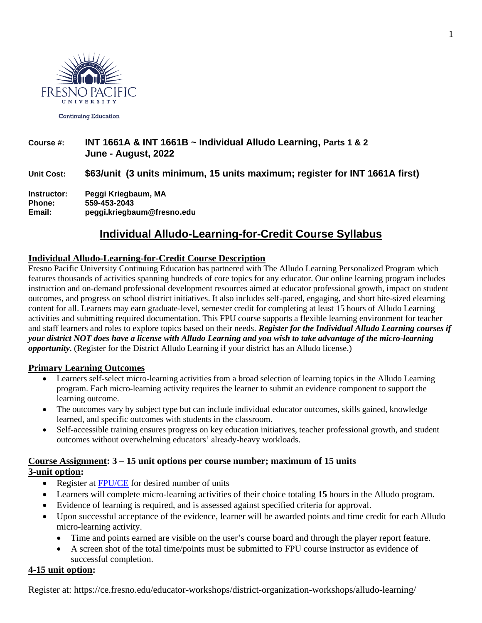

**Continuing Education** 

## **Course #: INT 1661A & INT 1661B ~ Individual Alludo Learning, Parts 1 & 2 June - August, 2022**

## **Unit Cost: \$63/unit (3 units minimum, 15 units maximum; register for INT 1661A first)**

**Instructor: Peggi Kriegbaum, MA Phone: 559-453-2043 Email: peggi.kriegbaum@fresno.edu**

## **Individual Alludo-Learning-for-Credit Course Syllabus**

#### **Individual Alludo-Learning-for-Credit Course Description**

Fresno Pacific University Continuing Education has partnered with The Alludo Learning Personalized Program which features thousands of activities spanning hundreds of core topics for any educator. Our online learning program includes instruction and on-demand professional development resources aimed at educator professional growth, impact on student outcomes, and progress on school district initiatives. It also includes self-paced, engaging, and short bite-sized elearning content for all. Learners may earn graduate-level, semester credit for completing at least 15 hours of Alludo Learning activities and submitting required documentation. This FPU course supports a flexible learning environment for teacher and staff learners and roles to explore topics based on their needs. *Register for the Individual Alludo Learning courses if your district NOT does have a license with Alludo Learning and you wish to take advantage of the micro-learning opportunity.* (Register for the District Alludo Learning if your district has an Alludo license.)

#### **Primary Learning Outcomes**

- Learners self-select micro-learning activities from a broad selection of learning topics in the Alludo Learning program. Each micro-learning activity requires the learner to submit an evidence component to support the learning outcome.
- The outcomes vary by subject type but can include individual educator outcomes, skills gained, knowledge learned, and specific outcomes with students in the classroom.
- Self-accessible training ensures progress on key education initiatives, teacher professional growth, and student outcomes without overwhelming educators' already-heavy workloads.

#### **Course Assignment: 3 – 15 unit options per course number; maximum of 15 units 3-unit option:**

- Register at [FPU/CE](https://ce.fresno.edu/educator-workshops/district-organization-workshops/alludo-learning/) for desired number of units
- Learners will complete micro-learning activities of their choice totaling **15** hours in the Alludo program.
- Evidence of learning is required, and is assessed against specified criteria for approval.
- Upon successful acceptance of the evidence, learner will be awarded points and time credit for each Alludo micro-learning activity.
	- Time and points earned are visible on the user's course board and through the player report feature.
	- A screen shot of the total time/points must be submitted to FPU course instructor as evidence of successful completion.

#### **4-15 unit option:**

Register at: https://ce.fresno.edu/educator-workshops/district-organization-workshops/alludo-learning/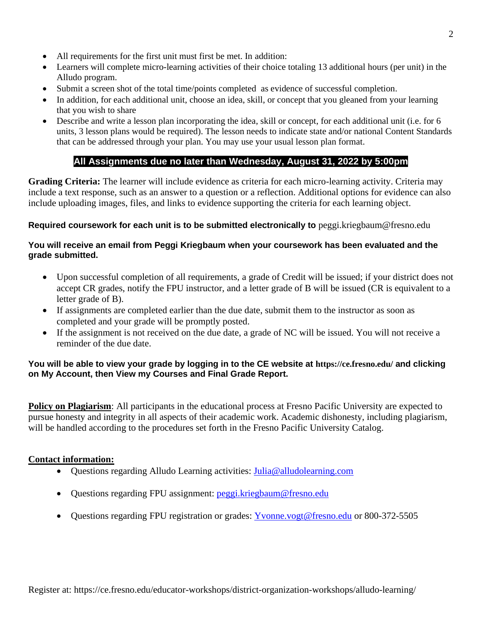- All requirements for the first unit must first be met. In addition:
- Learners will complete micro-learning activities of their choice totaling 13 additional hours (per unit) in the Alludo program.
- Submit a screen shot of the total time/points completed as evidence of successful completion.
- In addition, for each additional unit, choose an idea, skill, or concept that you gleaned from your learning that you wish to share
- Describe and write a lesson plan incorporating the idea, skill or concept, for each additional unit (i.e. for 6 units, 3 lesson plans would be required). The lesson needs to indicate state and/or national Content Standards that can be addressed through your plan. You may use your usual lesson plan format.

## **All Assignments due no later than Wednesday, August 31, 2022 by 5:00pm**

**Grading Criteria:** The learner will include evidence as criteria for each micro-learning activity. Criteria may include a text response, such as an answer to a question or a reflection. Additional options for evidence can also include uploading images, files, and links to evidence supporting the criteria for each learning object.

#### **Required coursework for each unit is to be submitted electronically to** [peggi.kriegbaum@fresno.edu](mailto:peggi.kriegbaum@fresno.edu)

#### **You will receive an email from Peggi Kriegbaum when your coursework has been evaluated and the grade submitted.**

- Upon successful completion of all requirements, a grade of Credit will be issued; if your district does not accept CR grades, notify the FPU instructor, and a letter grade of B will be issued (CR is equivalent to a letter grade of B).
- If assignments are completed earlier than the due date, submit them to the instructor as soon as completed and your grade will be promptly posted.
- If the assignment is not received on the due date, a grade of NC will be issued. You will not receive a reminder of the due date.

#### **You will be able to view your grade by logging in to the CE website at <https://ce.fresno.edu/> and clicking on My Account, then View my Courses and Final Grade Report.**

**Policy on Plagiarism**: All participants in the educational process at Fresno Pacific University are expected to pursue honesty and integrity in all aspects of their academic work. Academic dishonesty, including plagiarism, will be handled according to the procedures set forth in the Fresno Pacific University Catalog.

#### **Contact information:**

- Questions regarding Alludo Learning activities: [Julia@alludolearning.com](mailto:Julia@alludolearning.com)
- Questions regarding FPU assignment: [peggi.kriegbaum@fresno.edu](mailto:peggi.kriegbaum@fresno.edu)
- Questions regarding FPU registration or grades: [Yvonne.vogt@fresno.edu](mailto:Yvonne.vogt@fresno.edu) or 800-372-5505